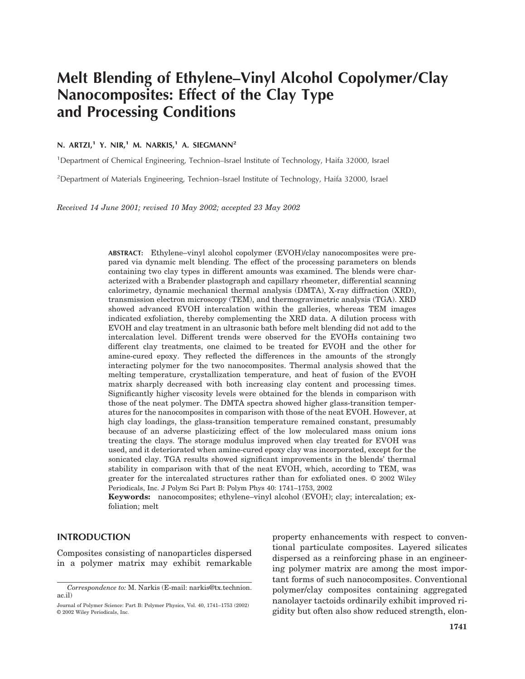# **Melt Blending of Ethylene–Vinyl Alcohol Copolymer/Clay Nanocomposites: Effect of the Clay Type and Processing Conditions**

## **N. ARTZI,1 Y. NIR,1 M. NARKIS,1 A. SIEGMANN2**

<sup>1</sup>Department of Chemical Engineering, Technion-Israel Institute of Technology, Haifa 32000, Israel

<sup>2</sup>Department of Materials Engineering, Technion–Israel Institute of Technology, Haifa 32000, Israel

*Received 14 June 2001; revised 10 May 2002; accepted 23 May 2002*

**ABSTRACT:** Ethylene–vinyl alcohol copolymer (EVOH)/clay nanocomposites were prepared via dynamic melt blending. The effect of the processing parameters on blends containing two clay types in different amounts was examined. The blends were characterized with a Brabender plastograph and capillary rheometer, differential scanning calorimetry, dynamic mechanical thermal analysis (DMTA), X-ray diffraction (XRD), transmission electron microscopy (TEM), and thermogravimetric analysis (TGA). XRD showed advanced EVOH intercalation within the galleries, whereas TEM images indicated exfoliation, thereby complementing the XRD data. A dilution process with EVOH and clay treatment in an ultrasonic bath before melt blending did not add to the intercalation level. Different trends were observed for the EVOHs containing two different clay treatments, one claimed to be treated for EVOH and the other for amine-cured epoxy. They reflected the differences in the amounts of the strongly interacting polymer for the two nanocomposites. Thermal analysis showed that the melting temperature, crystallization temperature, and heat of fusion of the EVOH matrix sharply decreased with both increasing clay content and processing times. Significantly higher viscosity levels were obtained for the blends in comparison with those of the neat polymer. The DMTA spectra showed higher glass-transition temperatures for the nanocomposites in comparison with those of the neat EVOH. However, at high clay loadings, the glass-transition temperature remained constant, presumably because of an adverse plasticizing effect of the low moleculared mass onium ions treating the clays. The storage modulus improved when clay treated for EVOH was used, and it deteriorated when amine-cured epoxy clay was incorporated, except for the sonicated clay. TGA results showed significant improvements in the blends' thermal stability in comparison with that of the neat EVOH, which, according to TEM, was greater for the intercalated structures rather than for exfoliated ones. © 2002 Wiley Periodicals, Inc. J Polym Sci Part B: Polym Phys 40: 1741–1753, 2002

**Keywords:** nanocomposites; ethylene–vinyl alcohol (EVOH); clay; intercalation; exfoliation; melt

## **INTRODUCTION**

Composites consisting of nanoparticles dispersed in a polymer matrix may exhibit remarkable property enhancements with respect to conventional particulate composites. Layered silicates dispersed as a reinforcing phase in an engineering polymer matrix are among the most important forms of such nanocomposites. Conventional polymer/clay composites containing aggregated nanolayer tactoids ordinarily exhibit improved rigidity but often also show reduced strength, elon-

*Correspondence to:* M. Narkis (E-mail: narkis@tx.technion. ac.il)

Journal of Polymer Science: Part B: Polymer Physics, Vol. 40, 1741–1753 (2002) © 2002 Wiley Periodicals, Inc.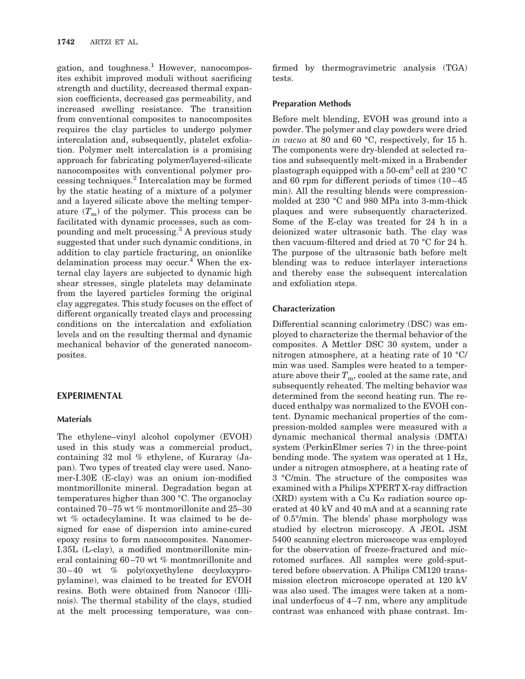gation, and toughness.<sup>1</sup> However, nanocomposites exhibit improved moduli without sacrificing strength and ductility, decreased thermal expansion coefficients, decreased gas permeability, and increased swelling resistance. The transition from conventional composites to nanocomposites requires the clay particles to undergo polymer intercalation and, subsequently, platelet exfoliation. Polymer melt intercalation is a promising approach for fabricating polymer/layered-silicate nanocomposites with conventional polymer processing techniques.2 Intercalation may be formed by the static heating of a mixture of a polymer and a layered silicate above the melting temperature  $(T_m)$  of the polymer. This process can be facilitated with dynamic processes, such as compounding and melt processing.3 A previous study suggested that under such dynamic conditions, in addition to clay particle fracturing, an onionlike delamination process may occur.<sup>4</sup> When the external clay layers are subjected to dynamic high shear stresses, single platelets may delaminate from the layered particles forming the original clay aggregates. This study focuses on the effect of different organically treated clays and processing conditions on the intercalation and exfoliation levels and on the resulting thermal and dynamic mechanical behavior of the generated nanocomposites.

## **EXPERIMENTAL**

## **Materials**

The ethylene–vinyl alcohol copolymer (EVOH) used in this study was a commercial product, containing 32 mol % ethylene, of Kuraray (Japan). Two types of treated clay were used. Nanomer-I.30E (E-clay) was an onium ion-modified montmorillonite mineral. Degradation began at temperatures higher than 300 °C. The organoclay contained 70–75 wt % montmorillonite and 25–30 wt % octadecylamine. It was claimed to be designed for ease of dispersion into amine-cured epoxy resins to form nanocomposites. Nanomer-I.35L (L-clay), a modified montmorillonite mineral containing 60–70 wt % montmorillonite and 30–40 wt % poly(oxyethylene decyloxypropylamine), was claimed to be treated for EVOH resins. Both were obtained from Nanocor (Illinois). The thermal stability of the clays, studied at the melt processing temperature, was confirmed by thermogravimetric analysis (TGA) tests.

#### **Preparation Methods**

Before melt blending, EVOH was ground into a powder. The polymer and clay powders were dried *in vacuo* at 80 and 60 °C, respectively, for 15 h. The components were dry-blended at selected ratios and subsequently melt-mixed in a Brabender plastograph equipped with a 50-cm<sup>3</sup> cell at 230  $^{\circ}$ C and 60 rpm for different periods of times (10–45 min). All the resulting blends were compressionmolded at 230 °C and 980 MPa into 3-mm-thick plaques and were subsequently characterized. Some of the E-clay was treated for 24 h in a deionized water ultrasonic bath. The clay was then vacuum-filtered and dried at 70 °C for 24 h. The purpose of the ultrasonic bath before melt blending was to reduce interlayer interactions and thereby ease the subsequent intercalation and exfoliation steps.

#### **Characterization**

Differential scanning calorimetry (DSC) was employed to characterize the thermal behavior of the composites. A Mettler DSC 30 system, under a nitrogen atmosphere, at a heating rate of 10 °C/ min was used. Samples were heated to a temperature above their  $T_{\text{m}}$ , cooled at the same rate, and subsequently reheated. The melting behavior was determined from the second heating run. The reduced enthalpy was normalized to the EVOH content. Dynamic mechanical properties of the compression-molded samples were measured with a dynamic mechanical thermal analysis (DMTA) system (PerkinElmer series 7) in the three-point bending mode. The system was operated at 1 Hz, under a nitrogen atmosphere, at a heating rate of 3 °C/min. The structure of the composites was examined with a Philips X'PERT X-ray diffraction (XRD) system with a Cu K $\alpha$  radiation source operated at 40 kV and 40 mA and at a scanning rate of 0.5°/min. The blends' phase morphology was studied by electron microscopy. A JEOL JSM 5400 scanning electron microscope was employed for the observation of freeze-fractured and microtomed surfaces. All samples were gold-sputtered before observation. A Philips CM120 transmission electron microscope operated at 120 kV was also used. The images were taken at a nominal underfocus of 4–7 nm, where any amplitude contrast was enhanced with phase contrast. Im-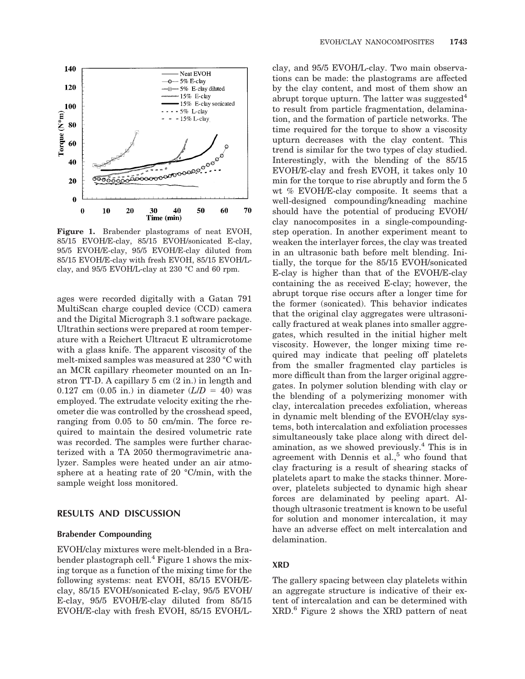

**Figure 1.** Brabender plastograms of neat EVOH, 85/15 EVOH/E-clay, 85/15 EVOH/sonicated E-clay, 95/5 EVOH/E-clay, 95/5 EVOH/E-clay diluted from 85/15 EVOH/E-clay with fresh EVOH, 85/15 EVOH/Lclay, and 95/5 EVOH/L-clay at 230 °C and 60 rpm.

ages were recorded digitally with a Gatan 791 MultiScan charge coupled device (CCD) camera and the Digital Micrograph 3.1 software package. Ultrathin sections were prepared at room temperature with a Reichert Ultracut E ultramicrotome with a glass knife. The apparent viscosity of the melt-mixed samples was measured at 230 °C with an MCR capillary rheometer mounted on an Instron TT-D. A capillary 5 cm (2 in.) in length and 0.127 cm (0.05 in.) in diameter  $(L/D = 40)$  was employed. The extrudate velocity exiting the rheometer die was controlled by the crosshead speed, ranging from 0.05 to 50 cm/min. The force required to maintain the desired volumetric rate was recorded. The samples were further characterized with a TA 2050 thermogravimetric analyzer. Samples were heated under an air atmosphere at a heating rate of 20 °C/min, with the sample weight loss monitored.

## **RESULTS AND DISCUSSION**

#### **Brabender Compounding**

EVOH/clay mixtures were melt-blended in a Brabender plastograph cell. $4$  Figure 1 shows the mixing torque as a function of the mixing time for the following systems: neat EVOH, 85/15 EVOH/Eclay, 85/15 EVOH/sonicated E-clay, 95/5 EVOH/ E-clay, 95/5 EVOH/E-clay diluted from 85/15 EVOH/E-clay with fresh EVOH, 85/15 EVOH/L-

clay, and 95/5 EVOH/L-clay. Two main observations can be made: the plastograms are affected by the clay content, and most of them show an abrupt torque upturn. The latter was suggested  $4$ to result from particle fragmentation, delamination, and the formation of particle networks. The time required for the torque to show a viscosity upturn decreases with the clay content. This trend is similar for the two types of clay studied. Interestingly, with the blending of the 85/15 EVOH/E-clay and fresh EVOH, it takes only 10 min for the torque to rise abruptly and form the 5 wt % EVOH/E-clay composite. It seems that a well-designed compounding/kneading machine should have the potential of producing EVOH/ clay nanocomposites in a single-compoundingstep operation. In another experiment meant to weaken the interlayer forces, the clay was treated in an ultrasonic bath before melt blending. Initially, the torque for the 85/15 EVOH/sonicated E-clay is higher than that of the EVOH/E-clay containing the as received E-clay; however, the abrupt torque rise occurs after a longer time for the former (sonicated). This behavior indicates that the original clay aggregates were ultrasonically fractured at weak planes into smaller aggregates, which resulted in the initial higher melt viscosity. However, the longer mixing time required may indicate that peeling off platelets from the smaller fragmented clay particles is more difficult than from the larger original aggregates. In polymer solution blending with clay or the blending of a polymerizing monomer with clay, intercalation precedes exfoliation, whereas in dynamic melt blending of the EVOH/clay systems, both intercalation and exfoliation processes simultaneously take place along with direct delamination, as we showed previously.<sup>4</sup> This is in agreement with Dennis et al., $^5$  who found that clay fracturing is a result of shearing stacks of platelets apart to make the stacks thinner. Moreover, platelets subjected to dynamic high shear forces are delaminated by peeling apart. Although ultrasonic treatment is known to be useful for solution and monomer intercalation, it may have an adverse effect on melt intercalation and delamination.

#### **XRD**

The gallery spacing between clay platelets within an aggregate structure is indicative of their extent of intercalation and can be determined with XRD.6 Figure 2 shows the XRD pattern of neat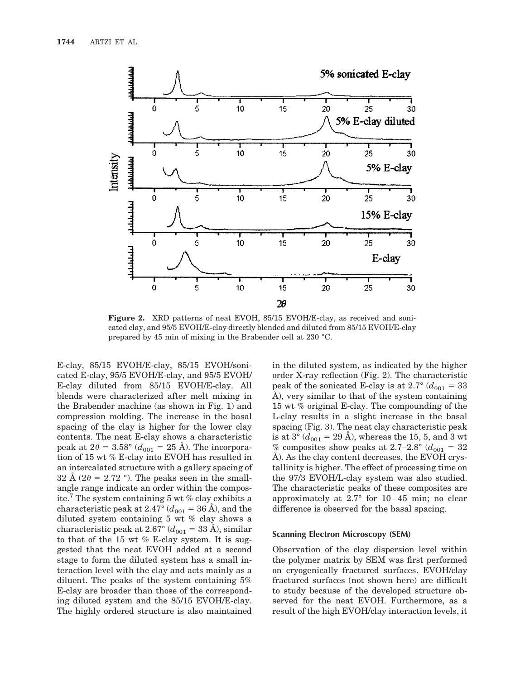

**Figure 2.** XRD patterns of neat EVOH, 85/15 EVOH/E-clay, as received and sonicated clay, and 95/5 EVOH/E-clay directly blended and diluted from 85/15 EVOH/E-clay prepared by 45 min of mixing in the Brabender cell at 230 °C.

E-clay, 85/15 EVOH/E-clay, 85/15 EVOH/sonicated E-clay, 95/5 EVOH/E-clay, and 95/5 EVOH/ E-clay diluted from 85/15 EVOH/E-clay. All blends were characterized after melt mixing in the Brabender machine (as shown in Fig. 1) and compression molding. The increase in the basal spacing of the clay is higher for the lower clay contents. The neat E-clay shows a characteristic peak at  $2\theta = 3.58^{\circ}$  ( $d_{001} = 25$  Å). The incorporation of 15 wt % E-clay into EVOH has resulted in an intercalated structure with a gallery spacing of  $32 \text{ A } (2\theta = 2.72 \text{ }^{\circ}).$  The peaks seen in the smallangle range indicate an order within the composite.<sup>7</sup> The system containing 5 wt  $%$  clay exhibits a characteristic peak at 2.47°  $(d_{001} = 36 \text{ Å})$ , and the diluted system containing 5 wt % clay shows a characteristic peak at 2.67°  $(d_{001} = 33 \text{ Å})$ , similar to that of the 15 wt % E-clay system. It is suggested that the neat EVOH added at a second stage to form the diluted system has a small interaction level with the clay and acts mainly as a diluent. The peaks of the system containing 5% E-clay are broader than those of the corresponding diluted system and the 85/15 EVOH/E-clay. The highly ordered structure is also maintained

in the diluted system, as indicated by the higher order X-ray reflection (Fig. 2). The characteristic peak of the sonicated E-clay is at  $2.7^{\circ}$  ( $d_{001} = 33$ ) Å), very similar to that of the system containing 15 wt % original E-clay. The compounding of the L-clay results in a slight increase in the basal spacing (Fig. 3). The neat clay characteristic peak is at  $3^{\circ}$  ( $d_{001}$  = 29 Å), whereas the 15, 5, and 3 wt % composites show peaks at  $2.7-2.8^{\circ}$  ( $d_{001} = 32$ ) Å). As the clay content decreases, the EVOH crystallinity is higher. The effect of processing time on the 97/3 EVOH/L-clay system was also studied. The characteristic peaks of these composites are approximately at 2.7° for 10–45 min; no clear difference is observed for the basal spacing.

#### **Scanning Electron Microscopy (SEM)**

Observation of the clay dispersion level within the polymer matrix by SEM was first performed on cryogenically fractured surfaces. EVOH/clay fractured surfaces (not shown here) are difficult to study because of the developed structure observed for the neat EVOH. Furthermore, as a result of the high EVOH/clay interaction levels, it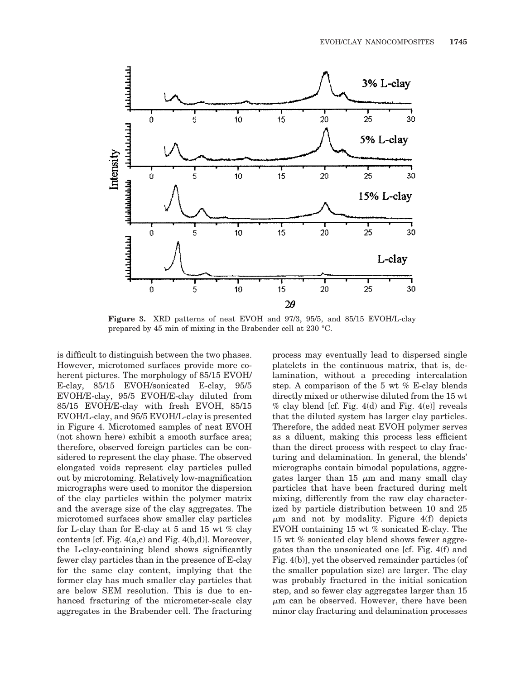

**Figure 3.** XRD patterns of neat EVOH and 97/3, 95/5, and 85/15 EVOH/L-clay prepared by 45 min of mixing in the Brabender cell at 230 °C.

is difficult to distinguish between the two phases. However, microtomed surfaces provide more coherent pictures. The morphology of 85/15 EVOH/ E-clay, 85/15 EVOH/sonicated E-clay, 95/5 EVOH/E-clay, 95/5 EVOH/E-clay diluted from 85/15 EVOH/E-clay with fresh EVOH, 85/15 EVOH/L-clay, and 95/5 EVOH/L-clay is presented in Figure 4. Microtomed samples of neat EVOH (not shown here) exhibit a smooth surface area; therefore, observed foreign particles can be considered to represent the clay phase. The observed elongated voids represent clay particles pulled out by microtoming. Relatively low-magnification micrographs were used to monitor the dispersion of the clay particles within the polymer matrix and the average size of the clay aggregates. The microtomed surfaces show smaller clay particles for L-clay than for E-clay at 5 and 15 wt % clay contents [cf. Fig.  $4(a,c)$  and Fig.  $4(b,d)$ ]. Moreover, the L-clay-containing blend shows significantly fewer clay particles than in the presence of E-clay for the same clay content, implying that the former clay has much smaller clay particles that are below SEM resolution. This is due to enhanced fracturing of the micrometer-scale clay aggregates in the Brabender cell. The fracturing

process may eventually lead to dispersed single platelets in the continuous matrix, that is, delamination, without a preceding intercalation step. A comparison of the 5 wt % E-clay blends directly mixed or otherwise diluted from the 15 wt  $%$  clay blend [cf. Fig. 4(d) and Fig. 4(e)] reveals that the diluted system has larger clay particles. Therefore, the added neat EVOH polymer serves as a diluent, making this process less efficient than the direct process with respect to clay fracturing and delamination. In general, the blends' micrographs contain bimodal populations, aggregates larger than 15  $\mu$ m and many small clay particles that have been fractured during melt mixing, differently from the raw clay characterized by particle distribution between 10 and 25  $\mu$ m and not by modality. Figure 4(f) depicts EVOH containing 15 wt % sonicated E-clay. The 15 wt % sonicated clay blend shows fewer aggregates than the unsonicated one [cf. Fig. 4(f) and Fig. 4(b)], yet the observed remainder particles (of the smaller population size) are larger. The clay was probably fractured in the initial sonication step, and so fewer clay aggregates larger than 15  $\mu$ m can be observed. However, there have been minor clay fracturing and delamination processes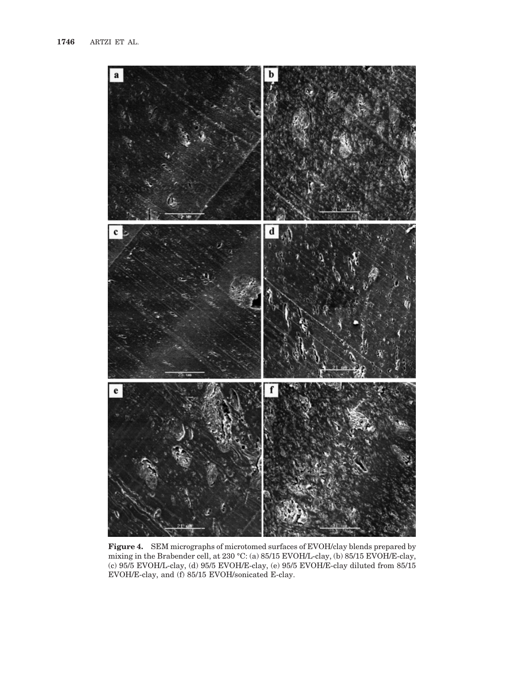

**Figure 4.** SEM micrographs of microtomed surfaces of EVOH/clay blends prepared by mixing in the Brabender cell, at 230 °C: (a) 85/15 EVOH/L-clay, (b) 85/15 EVOH/E-clay, (c) 95/5 EVOH/L-clay, (d) 95/5 EVOH/E-clay, (e) 95/5 EVOH/E-clay diluted from 85/15 EVOH/E-clay, and (f) 85/15 EVOH/sonicated E-clay.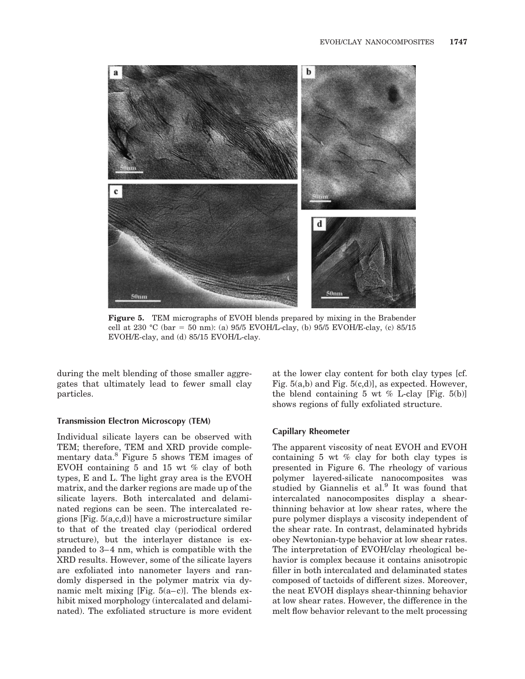

**Figure 5.** TEM micrographs of EVOH blends prepared by mixing in the Brabender cell at 230 °C (bar = 50 nm): (a) 95/5 EVOH/L-clay, (b) 95/5 EVOH/E-clay, (c) 85/15 EVOH/E-clay, and (d) 85/15 EVOH/L-clay.

during the melt blending of those smaller aggregates that ultimately lead to fewer small clay particles.

## **Transmission Electron Microscopy (TEM)**

Individual silicate layers can be observed with TEM; therefore, TEM and XRD provide complementary data.8 Figure 5 shows TEM images of EVOH containing 5 and 15 wt % clay of both types, E and L. The light gray area is the EVOH matrix, and the darker regions are made up of the silicate layers. Both intercalated and delaminated regions can be seen. The intercalated regions [Fig. 5(a,c,d)] have a microstructure similar to that of the treated clay (periodical ordered structure), but the interlayer distance is expanded to 3–4 nm, which is compatible with the XRD results. However, some of the silicate layers are exfoliated into nanometer layers and randomly dispersed in the polymer matrix via dynamic melt mixing [Fig.  $5(a-c)$ ]. The blends exhibit mixed morphology (intercalated and delaminated). The exfoliated structure is more evident

at the lower clay content for both clay types [cf. Fig.  $5(a,b)$  and Fig.  $5(c,d)$ ], as expected. However, the blend containing 5 wt  $\%$  L-clay [Fig. 5(b)] shows regions of fully exfoliated structure.

#### **Capillary Rheometer**

The apparent viscosity of neat EVOH and EVOH containing 5 wt % clay for both clay types is presented in Figure 6. The rheology of various polymer layered-silicate nanocomposites was studied by Giannelis et al. $9$  It was found that intercalated nanocomposites display a shearthinning behavior at low shear rates, where the pure polymer displays a viscosity independent of the shear rate. In contrast, delaminated hybrids obey Newtonian-type behavior at low shear rates. The interpretation of EVOH/clay rheological behavior is complex because it contains anisotropic filler in both intercalated and delaminated states composed of tactoids of different sizes. Moreover, the neat EVOH displays shear-thinning behavior at low shear rates. However, the difference in the melt flow behavior relevant to the melt processing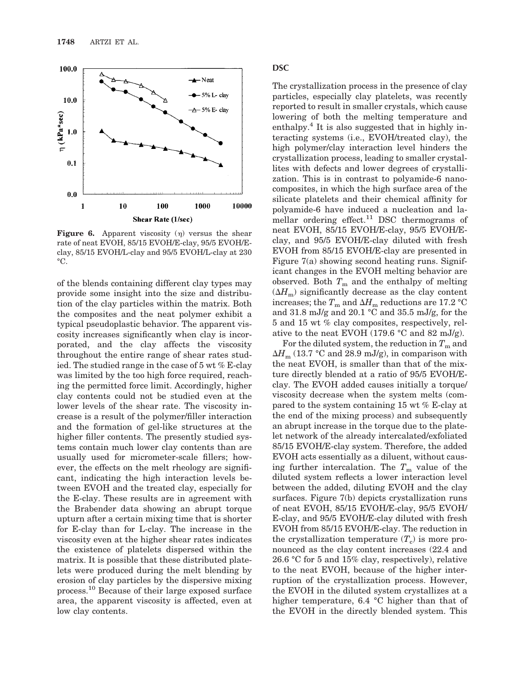

**Figure 6.** Apparent viscosity  $(\eta)$  versus the shear rate of neat EVOH, 85/15 EVOH/E-clay, 95/5 EVOH/Eclay, 85/15 EVOH/L-clay and 95/5 EVOH/L-clay at 230  $\rm ^{\circ}C.$ 

of the blends containing different clay types may provide some insight into the size and distribution of the clay particles within the matrix. Both the composites and the neat polymer exhibit a typical pseudoplastic behavior. The apparent viscosity increases significantly when clay is incorporated, and the clay affects the viscosity throughout the entire range of shear rates studied. The studied range in the case of 5 wt % E-clay was limited by the too high force required, reaching the permitted force limit. Accordingly, higher clay contents could not be studied even at the lower levels of the shear rate. The viscosity increase is a result of the polymer/filler interaction and the formation of gel-like structures at the higher filler contents. The presently studied systems contain much lower clay contents than are usually used for micrometer-scale fillers; however, the effects on the melt rheology are significant, indicating the high interaction levels between EVOH and the treated clay, especially for the E-clay. These results are in agreement with the Brabender data showing an abrupt torque upturn after a certain mixing time that is shorter for E-clay than for L-clay. The increase in the viscosity even at the higher shear rates indicates the existence of platelets dispersed within the matrix. It is possible that these distributed platelets were produced during the melt blending by erosion of clay particles by the dispersive mixing process.10 Because of their large exposed surface area, the apparent viscosity is affected, even at low clay contents.

## **DSC**

The crystallization process in the presence of clay particles, especially clay platelets, was recently reported to result in smaller crystals, which cause lowering of both the melting temperature and enthalpy.<sup>4</sup> It is also suggested that in highly interacting systems (i.e., EVOH/treated clay), the high polymer/clay interaction level hinders the crystallization process, leading to smaller crystallites with defects and lower degrees of crystallization. This is in contrast to polyamide-6 nanocomposites, in which the high surface area of the silicate platelets and their chemical affinity for polyamide-6 have induced a nucleation and lamellar ordering effect.<sup>11</sup> DSC thermograms of neat EVOH, 85/15 EVOH/E-clay, 95/5 EVOH/Eclay, and 95/5 EVOH/E-clay diluted with fresh EVOH from 85/15 EVOH/E-clay are presented in Figure 7(a) showing second heating runs. Significant changes in the EVOH melting behavior are observed. Both  $T_m$  and the enthalpy of melting  $(\Delta H_{\rm m})$  significantly decrease as the clay content increases; the  $T_{\rm m}$  and  $\Delta H_{\rm m}$  reductions are 17.2 °C and 31.8 mJ/g and 20.1 °C and 35.5 mJ/g, for the 5 and 15 wt % clay composites, respectively, relative to the neat EVOH (179.6 °C and 82 mJ/g).

For the diluted system, the reduction in  $T<sub>m</sub>$  and  $\Delta H_{\mathrm{m}}$  (13.7 °C and 28.9 mJ/g), in comparison with the neat EVOH, is smaller than that of the mixture directly blended at a ratio of 95/5 EVOH/Eclay. The EVOH added causes initially a torque/ viscosity decrease when the system melts (compared to the system containing 15 wt % E-clay at the end of the mixing process) and subsequently an abrupt increase in the torque due to the platelet network of the already intercalated/exfoliated 85/15 EVOH/E-clay system. Therefore, the added EVOH acts essentially as a diluent, without causing further intercalation. The  $T<sub>m</sub>$  value of the diluted system reflects a lower interaction level between the added, diluting EVOH and the clay surfaces. Figure 7(b) depicts crystallization runs of neat EVOH, 85/15 EVOH/E-clay, 95/5 EVOH/ E-clay, and 95/5 EVOH/E-clay diluted with fresh EVOH from 85/15 EVOH/E-clay. The reduction in the crystallization temperature  $(T_c)$  is more pronounced as the clay content increases (22.4 and 26.6 °C for 5 and 15% clay, respectively), relative to the neat EVOH, because of the higher interruption of the crystallization process. However, the EVOH in the diluted system crystallizes at a higher temperature, 6.4 °C higher than that of the EVOH in the directly blended system. This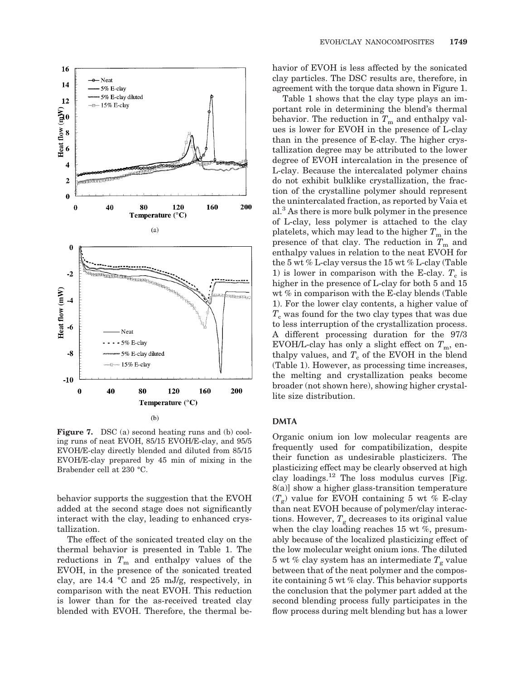

**Figure 7.** DSC (a) second heating runs and (b) cooling runs of neat EVOH, 85/15 EVOH/E-clay, and 95/5 EVOH/E-clay directly blended and diluted from 85/15 EVOH/E-clay prepared by 45 min of mixing in the Brabender cell at 230 °C.

behavior supports the suggestion that the EVOH added at the second stage does not significantly interact with the clay, leading to enhanced crystallization.

The effect of the sonicated treated clay on the thermal behavior is presented in Table 1. The reductions in  $T_m$  and enthalpy values of the EVOH, in the presence of the sonicated treated clay, are 14.4 °C and 25 mJ/g, respectively, in comparison with the neat EVOH. This reduction is lower than for the as-received treated clay blended with EVOH. Therefore, the thermal behavior of EVOH is less affected by the sonicated clay particles. The DSC results are, therefore, in agreement with the torque data shown in Figure 1.

Table 1 shows that the clay type plays an important role in determining the blend's thermal behavior. The reduction in  $T<sub>m</sub>$  and enthalpy values is lower for EVOH in the presence of L-clay than in the presence of E-clay. The higher crystallization degree may be attributed to the lower degree of EVOH intercalation in the presence of L-clay. Because the intercalated polymer chains do not exhibit bulklike crystallization, the fraction of the crystalline polymer should represent the unintercalated fraction, as reported by Vaia et al.3 As there is more bulk polymer in the presence of L-clay, less polymer is attached to the clay platelets, which may lead to the higher  $T<sub>m</sub>$  in the presence of that clay. The reduction in  $T<sub>m</sub>$  and enthalpy values in relation to the neat EVOH for the 5 wt  $\%$  L-clay versus the 15 wt  $\%$  L-clay (Table 1) is lower in comparison with the E-clay.  $T_c$  is higher in the presence of L-clay for both 5 and 15 wt % in comparison with the E-clay blends (Table 1). For the lower clay contents, a higher value of  $T_c$  was found for the two clay types that was due to less interruption of the crystallization process. A different processing duration for the 97/3 EVOH/L-clay has only a slight effect on  $T<sub>m</sub>$ , enthalpy values, and  $T_c$  of the EVOH in the blend (Table 1). However, as processing time increases, the melting and crystallization peaks become broader (not shown here), showing higher crystallite size distribution.

## **DMTA**

Organic onium ion low molecular reagents are frequently used for compatibilization, despite their function as undesirable plasticizers. The plasticizing effect may be clearly observed at high clay loadings.12 The loss modulus curves [Fig. 8(a)] show a higher glass-transition temperature  $(T<sub>g</sub>)$  value for EVOH containing 5 wt % E-clay than neat EVOH because of polymer/clay interactions. However,  $T_g$  decreases to its original value when the clay loading reaches 15 wt %, presumably because of the localized plasticizing effect of the low molecular weight onium ions. The diluted 5 wt % clay system has an intermediate  $T_{g}$  value between that of the neat polymer and the composite containing 5 wt % clay. This behavior supports the conclusion that the polymer part added at the second blending process fully participates in the flow process during melt blending but has a lower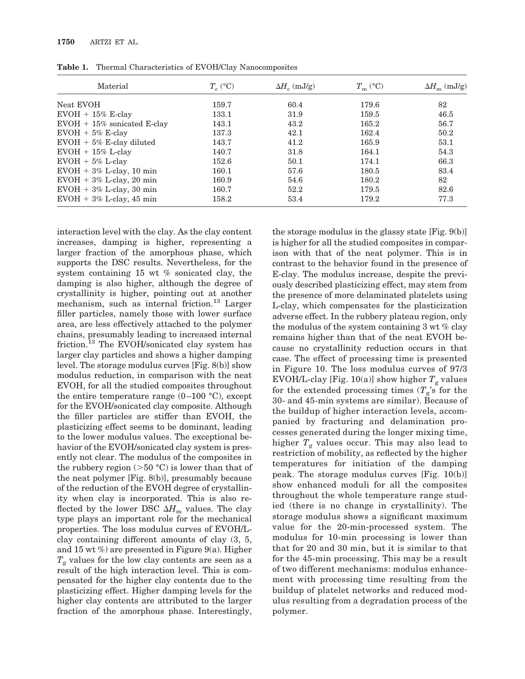| Material                       | $T_c$ (°C) | $\Delta H_c$ (mJ/g) | $T_{\rm m}$ (°C) | $\Delta H_{\rm m}$ (mJ/g) |
|--------------------------------|------------|---------------------|------------------|---------------------------|
| Neat EVOH                      | 159.7      | 60.4                | 179.6            | 82                        |
| $EVOH + 15\%$ E-clay           | 133.1      | 31.9                | 159.5            | 46.5                      |
| $EVOH + 15\%$ sonicated E-clay | 143.1      | 43.2                | 165.2            | 56.7                      |
| $EVOH + 5\% E-clay$            | 137.3      | 42.1                | 162.4            | 50.2                      |
| $EVOH + 5\%$ E-clay diluted    | 143.7      | 41.2                | 165.9            | 53.1                      |
| $EVOH + 15\%$ L-clay           | 140.7      | 31.8                | 164.1            | 54.3                      |
| $EVOH + 5\%$ L-clay            | 152.6      | 50.1                | 174.1            | 66.3                      |
| $EVOH + 3\%$ L-clay, 10 min    | 160.1      | 57.6                | 180.5            | 83.4                      |
| $EVOH + 3\%$ L-clay, 20 min    | 160.9      | 54.6                | 180.2            | 82                        |
| $EVOH + 3\%$ L-clay, 30 min    | 160.7      | 52.2                | 179.5            | 82.6                      |
| $EVOH + 3\%$ L-clay, 45 min    | 158.2      | 53.4                | 179.2            | 77.3                      |

**Table 1.** Thermal Characteristics of EVOH/Clay Nanocomposites

interaction level with the clay. As the clay content increases, damping is higher, representing a larger fraction of the amorphous phase, which supports the DSC results. Nevertheless, for the system containing 15 wt % sonicated clay, the damping is also higher, although the degree of crystallinity is higher, pointing out at another mechanism, such as internal friction.<sup>13</sup> Larger filler particles, namely those with lower surface area, are less effectively attached to the polymer chains, presumably leading to increased internal friction.13 The EVOH/sonicated clay system has larger clay particles and shows a higher damping level. The storage modulus curves [Fig. 8(b)] show modulus reduction, in comparison with the neat EVOH, for all the studied composites throughout the entire temperature range  $(0-100 \degree C)$ , except for the EVOH/sonicated clay composite. Although the filler particles are stiffer than EVOH, the plasticizing effect seems to be dominant, leading to the lower modulus values. The exceptional behavior of the EVOH/sonicated clay system is presently not clear. The modulus of the composites in the rubbery region  $(>50 \degree C)$  is lower than that of the neat polymer [Fig. 8(b)], presumably because of the reduction of the EVOH degree of crystallinity when clay is incorporated. This is also reflected by the lower DSC  $\Delta H_\text{m}$  values. The clay type plays an important role for the mechanical properties. The loss modulus curves of EVOH/Lclay containing different amounts of clay (3, 5, and 15 wt %) are presented in Figure 9(a). Higher  $T<sub>g</sub>$  values for the low clay contents are seen as a result of the high interaction level. This is compensated for the higher clay contents due to the plasticizing effect. Higher damping levels for the higher clay contents are attributed to the larger fraction of the amorphous phase. Interestingly,

the storage modulus in the glassy state [Fig. 9(b)] is higher for all the studied composites in comparison with that of the neat polymer. This is in contrast to the behavior found in the presence of E-clay. The modulus increase, despite the previously described plasticizing effect, may stem from the presence of more delaminated platelets using L-clay, which compensates for the plasticization adverse effect. In the rubbery plateau region, only the modulus of the system containing  $3 \text{ wt } \%$  clay remains higher than that of the neat EVOH because no crystallinity reduction occurs in that case. The effect of processing time is presented in Figure 10. The loss modulus curves of 97/3 EVOH/L-clay [Fig. 10(a)] show higher  $T_g$  values for the extended processing times  $(T_g)$ 's for the 30- and 45-min systems are similar). Because of the buildup of higher interaction levels, accompanied by fracturing and delamination processes generated during the longer mixing time, higher  $T_g$  values occur. This may also lead to restriction of mobility, as reflected by the higher temperatures for initiation of the damping peak. The storage modulus curves [Fig. 10(b)] show enhanced moduli for all the composites throughout the whole temperature range studied (there is no change in crystallinity). The storage modulus shows a significant maximum value for the 20-min-processed system. The modulus for 10-min processing is lower than that for 20 and 30 min, but it is similar to that for the 45-min processing. This may be a result of two different mechanisms: modulus enhancement with processing time resulting from the buildup of platelet networks and reduced modulus resulting from a degradation process of the polymer.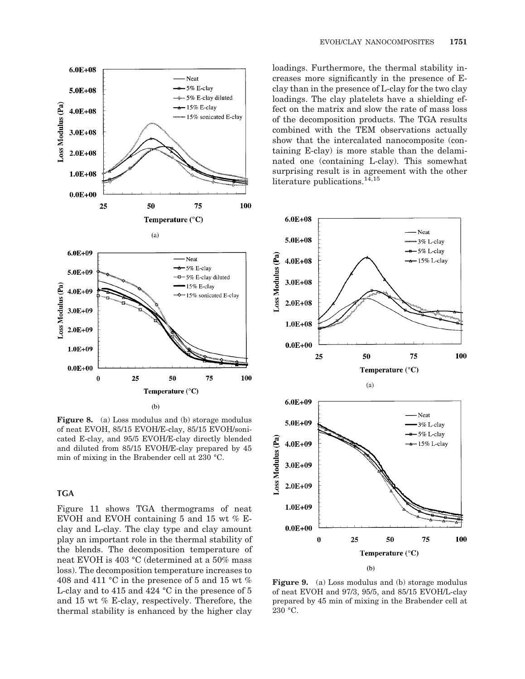

**Figure 8.** (a) Loss modulus and (b) storage modulus of neat EVOH, 85/15 EVOH/E-clay, 85/15 EVOH/sonicated E-clay, and 95/5 EVOH/E-clay directly blended and diluted from 85/15 EVOH/E-clay prepared by 45 min of mixing in the Brabender cell at 230 °C.

## **TGA**

Figure 11 shows TGA thermograms of neat EVOH and EVOH containing 5 and 15 wt % Eclay and L-clay. The clay type and clay amount play an important role in the thermal stability of the blends. The decomposition temperature of neat EVOH is 403 °C (determined at a 50% mass loss). The decomposition temperature increases to 408 and 411 °C in the presence of 5 and 15 wt  $\%$ L-clay and to 415 and 424 °C in the presence of 5 and 15 wt % E-clay, respectively. Therefore, the thermal stability is enhanced by the higher clay

loadings. Furthermore, the thermal stability increases more significantly in the presence of Eclay than in the presence of L-clay for the two clay loadings. The clay platelets have a shielding effect on the matrix and slow the rate of mass loss of the decomposition products. The TGA results combined with the TEM observations actually show that the intercalated nanocomposite (containing E-clay) is more stable than the delaminated one (containing L-clay). This somewhat surprising result is in agreement with the other literature publications.<sup>14,15</sup>



**Figure 9.** (a) Loss modulus and (b) storage modulus of neat EVOH and 97/3, 95/5, and 85/15 EVOH/L-clay prepared by 45 min of mixing in the Brabender cell at 230 °C.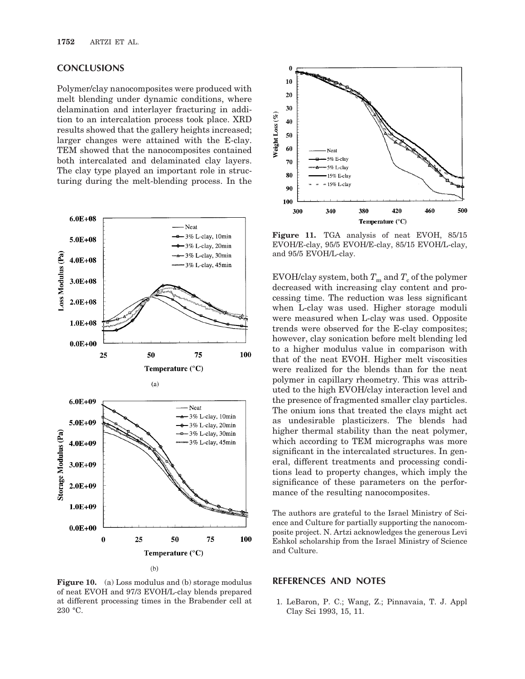## **CONCLUSIONS**

Polymer/clay nanocomposites were produced with melt blending under dynamic conditions, where delamination and interlayer fracturing in addition to an intercalation process took place. XRD results showed that the gallery heights increased; larger changes were attained with the E-clay. TEM showed that the nanocomposites contained both intercalated and delaminated clay layers. The clay type played an important role in structuring during the melt-blending process. In the



Figure 10. (a) Loss modulus and (b) storage modulus of neat EVOH and 97/3 EVOH/L-clay blends prepared at different processing times in the Brabender cell at 230 °C.



**Figure 11.** TGA analysis of neat EVOH, 85/15 EVOH/E-clay, 95/5 EVOH/E-clay, 85/15 EVOH/L-clay, and 95/5 EVOH/L-clay.

EVOH/clay system, both  $T_m$  and  $T_c$  of the polymer decreased with increasing clay content and processing time. The reduction was less significant when L-clay was used. Higher storage moduli were measured when L-clay was used. Opposite trends were observed for the E-clay composites; however, clay sonication before melt blending led to a higher modulus value in comparison with that of the neat EVOH. Higher melt viscosities were realized for the blends than for the neat polymer in capillary rheometry. This was attributed to the high EVOH/clay interaction level and the presence of fragmented smaller clay particles. The onium ions that treated the clays might act as undesirable plasticizers. The blends had higher thermal stability than the neat polymer, which according to TEM micrographs was more significant in the intercalated structures. In general, different treatments and processing conditions lead to property changes, which imply the significance of these parameters on the performance of the resulting nanocomposites.

The authors are grateful to the Israel Ministry of Science and Culture for partially supporting the nanocomposite project. N. Artzi acknowledges the generous Levi Eshkol scholarship from the Israel Ministry of Science and Culture.

## **REFERENCES AND NOTES**

1. LeBaron, P. C.; Wang, Z.; Pinnavaia, T. J. Appl Clay Sci 1993, 15, 11.